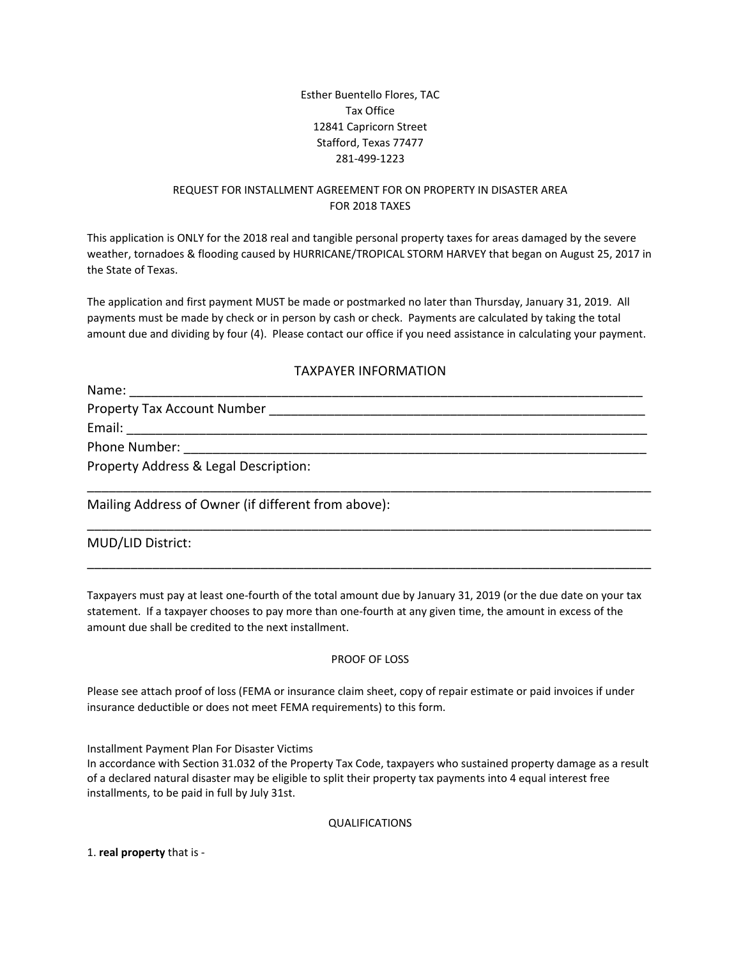## Esther Buentello Flores, TAC Tax Office 12841 Capricorn Street Stafford, Texas 77477 281‐499‐1223

# REQUEST FOR INSTALLMENT AGREEMENT FOR ON PROPERTY IN DISASTER AREA FOR 2018 TAXES

This application is ONLY for the 2018 real and tangible personal property taxes for areas damaged by the severe weather, tornadoes & flooding caused by HURRICANE/TROPICAL STORM HARVEY that began on August 25, 2017 in the State of Texas.

The application and first payment MUST be made or postmarked no later than Thursday, January 31, 2019. All payments must be made by check or in person by cash or check. Payments are calculated by taking the total amount due and dividing by four (4). Please contact our office if you need assistance in calculating your payment.

## TAXPAYER INFORMATION

| Name:                                                                                                                                                                                                                          |
|--------------------------------------------------------------------------------------------------------------------------------------------------------------------------------------------------------------------------------|
| Property Tax Account Number                                                                                                                                                                                                    |
|                                                                                                                                                                                                                                |
| Phone Number: Note that the state of the state of the state of the state of the state of the state of the state of the state of the state of the state of the state of the state of the state of the state of the state of the |
| Property Address & Legal Description:                                                                                                                                                                                          |
|                                                                                                                                                                                                                                |

\_\_\_\_\_\_\_\_\_\_\_\_\_\_\_\_\_\_\_\_\_\_\_\_\_\_\_\_\_\_\_\_\_\_\_\_\_\_\_\_\_\_\_\_\_\_\_\_\_\_\_\_\_\_\_\_\_\_\_\_\_\_\_\_\_\_\_\_\_\_\_\_\_\_\_\_\_\_

\_\_\_\_\_\_\_\_\_\_\_\_\_\_\_\_\_\_\_\_\_\_\_\_\_\_\_\_\_\_\_\_\_\_\_\_\_\_\_\_\_\_\_\_\_\_\_\_\_\_\_\_\_\_\_\_\_\_\_\_\_\_\_\_\_\_\_\_\_\_\_\_\_\_\_\_\_\_

Mailing Address of Owner (if different from above):

## MUD/LID District:

Taxpayers must pay at least one‐fourth of the total amount due by January 31, 2019 (or the due date on your tax statement. If a taxpayer chooses to pay more than one‐fourth at any given time, the amount in excess of the amount due shall be credited to the next installment.

#### PROOF OF LOSS

Please see attach proof of loss (FEMA or insurance claim sheet, copy of repair estimate or paid invoices if under insurance deductible or does not meet FEMA requirements) to this form.

Installment Payment Plan For Disaster Victims

In accordance with Section 31.032 of the Property Tax Code, taxpayers who sustained property damage as a result of a declared natural disaster may be eligible to split their property tax payments into 4 equal interest free installments, to be paid in full by July 31st.

QUALIFICATIONS

1. **real property** that is ‐